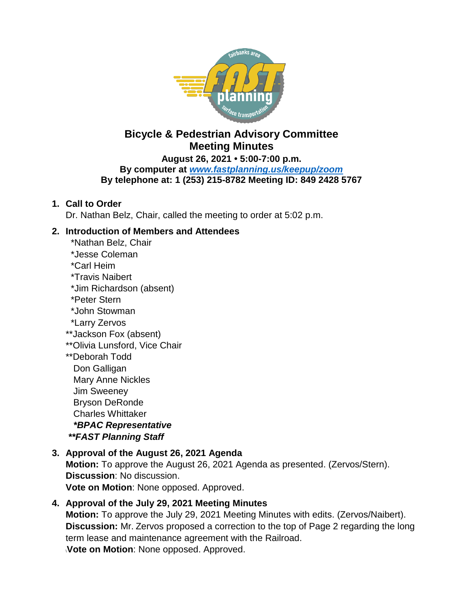

# **Bicycle & Pedestrian Advisory Committee Meeting Minutes**

**August 26, 2021 • 5:00-7:00 p.m.**

**By computer at** *[www.fastplanning.us/keepup/zoom](http://www.fastplanning.us/keepup/zoom)* **By telephone at: 1 (253) 215-8782 Meeting ID: 849 2428 5767**

#### **1. Call to Order**

Dr. Nathan Belz, Chair, called the meeting to order at 5:02 p.m.

#### **2. Introduction of Members and Attendees**

- \*Nathan Belz, Chair \*Jesse Coleman \*Carl Heim \*Travis Naibert \*Jim Richardson (absent) \*Peter Stern
- \*John Stowman
- \*Larry Zervos
- \*\*Jackson Fox (absent)
- \*\*Olivia Lunsford, Vice Chair
- \*\*Deborah Todd Don Galligan Mary Anne Nickles Jim Sweeney Bryson DeRonde Charles Whittaker  *\*BPAC Representative \*\*FAST Planning Staff*

### **3. Approval of the August 26, 2021 Agenda**

**Motion:** To approve the August 26, 2021 Agenda as presented. (Zervos/Stern). **Discussion**: No discussion. **Vote on Motion**: None opposed. Approved.

### **4. Approval of the July 29, 2021 Meeting Minutes**

**Motion:** To approve the July 29, 2021 Meeting Minutes with edits. (Zervos/Naibert). **Discussion:** Mr. Zervos proposed a correction to the top of Page 2 regarding the long term lease and maintenance agreement with the Railroad.

\**Vote on Motion**: None opposed. Approved.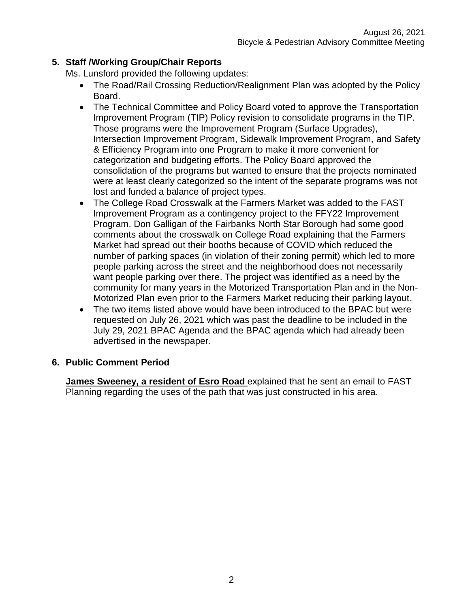## **5. Staff /Working Group/Chair Reports**

Ms. Lunsford provided the following updates:

- The Road/Rail Crossing Reduction/Realignment Plan was adopted by the Policy Board.
- The Technical Committee and Policy Board voted to approve the Transportation Improvement Program (TIP) Policy revision to consolidate programs in the TIP. Those programs were the Improvement Program (Surface Upgrades), Intersection Improvement Program, Sidewalk Improvement Program, and Safety & Efficiency Program into one Program to make it more convenient for categorization and budgeting efforts. The Policy Board approved the consolidation of the programs but wanted to ensure that the projects nominated were at least clearly categorized so the intent of the separate programs was not lost and funded a balance of project types.
- The College Road Crosswalk at the Farmers Market was added to the FAST Improvement Program as a contingency project to the FFY22 Improvement Program. Don Galligan of the Fairbanks North Star Borough had some good comments about the crosswalk on College Road explaining that the Farmers Market had spread out their booths because of COVID which reduced the number of parking spaces (in violation of their zoning permit) which led to more people parking across the street and the neighborhood does not necessarily want people parking over there. The project was identified as a need by the community for many years in the Motorized Transportation Plan and in the Non-Motorized Plan even prior to the Farmers Market reducing their parking layout.
- The two items listed above would have been introduced to the BPAC but were requested on July 26, 2021 which was past the deadline to be included in the July 29, 2021 BPAC Agenda and the BPAC agenda which had already been advertised in the newspaper.

### **6. Public Comment Period**

**James Sweeney, a resident of Esro Road** explained that he sent an email to FAST Planning regarding the uses of the path that was just constructed in his area.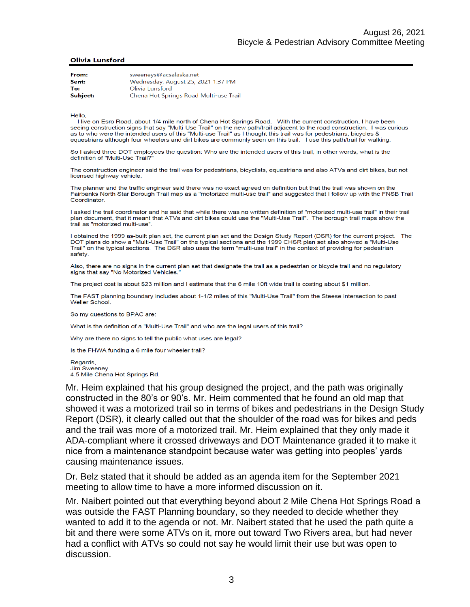#### **Olivia Lunsford**

| From:    | sweeneys@acsalaska.net                 |
|----------|----------------------------------------|
| Sent:    | Wednesday, August 25, 2021 1:37 PM     |
| To:      | Olivia Lunsford                        |
| Subject: | Chena Hot Springs Road Multi-use Trail |

Hello,

I live on Esro Road, about 1/4 mile north of Chena Hot Springs Road. With the current construction, I have been seeing construction signs that say "Multi-Use Trail" on the new path/trail adjacent to the road construction. I was curious as to who were the intended users of this "Multi-use Trail" as I thought this trail was for pedestrians, bicycles & equestrians although four wheelers and dirt bikes are commonly seen on this trail. I use this path/trail for walking.

So I asked three DOT employees the question: Who are the intended users of this trail, in other words, what is the definition of "Multi-Use Trail?

The construction engineer said the trail was for pedestrians, bicyclists, equestrians and also ATVs and dirt bikes, but not licensed highway vehicle.

The planner and the traffic engineer said there was no exact agreed on definition but that the trail was shown on the Fairbanks North Star Borough Trail map as a "motorized multi-use trail" and suggested that I follow up with the FNSB Trail Coordinator.

I asked the trail coordinator and he said that while there was no written definition of "motorized multi-use trail" in their trail plan document, that it meant that ATVs and dirt bikes could use the "Multi-Use Trail". The borough trail maps show the trail as "motorized multi-use".

I obtained the 1999 as-built plan set, the current plan set and the Design Study Report (DSR) for the current project. The DOT plans do show a "Multi-Use Trail" on the typical sections and the 1999 CHSR plan set also showed a "Multi-Use Trail" on the typical sections. The DSR also uses the term "multi-use trail" in the context of providing for pedestrian safety.

Also, there are no signs in the current plan set that designate the trail as a pedestrian or bicycle trail and no regulatory signs that say "No Motorized Vehicles.'

The project cost is about \$23 million and I estimate that the 6 mile 10ft wide trail is costing about \$1 million.

The FAST planning boundary includes about 1-1/2 miles of this "Multi-Use Trail" from the Steese intersection to past **Weller School** 

So my questions to BPAC are:

What is the definition of a "Multi-Use Trail" and who are the legal users of this trail?

Why are there no signs to tell the public what uses are legal?

Is the FHWA funding a 6 mile four wheeler trail?

Regards, **Jim Sweeney** 4.5 Mile Chena Hot Springs Rd.

Mr. Heim explained that his group designed the project, and the path was originally constructed in the 80's or 90's. Mr. Heim commented that he found an old map that showed it was a motorized trail so in terms of bikes and pedestrians in the Design Study Report (DSR), it clearly called out that the shoulder of the road was for bikes and peds and the trail was more of a motorized trail. Mr. Heim explained that they only made it ADA-compliant where it crossed driveways and DOT Maintenance graded it to make it nice from a maintenance standpoint because water was getting into peoples' yards causing maintenance issues.

Dr. Belz stated that it should be added as an agenda item for the September 2021 meeting to allow time to have a more informed discussion on it.

Mr. Naibert pointed out that everything beyond about 2 Mile Chena Hot Springs Road a was outside the FAST Planning boundary, so they needed to decide whether they wanted to add it to the agenda or not. Mr. Naibert stated that he used the path quite a bit and there were some ATVs on it, more out toward Two Rivers area, but had never had a conflict with ATVs so could not say he would limit their use but was open to discussion.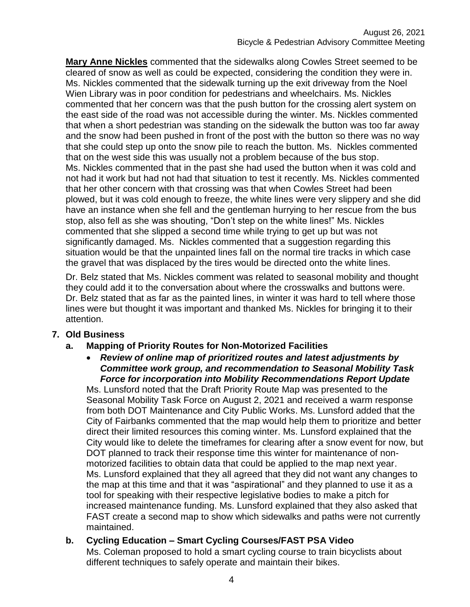**Mary Anne Nickles** commented that the sidewalks along Cowles Street seemed to be cleared of snow as well as could be expected, considering the condition they were in. Ms. Nickles commented that the sidewalk turning up the exit driveway from the Noel Wien Library was in poor condition for pedestrians and wheelchairs. Ms. Nickles commented that her concern was that the push button for the crossing alert system on the east side of the road was not accessible during the winter. Ms. Nickles commented that when a short pedestrian was standing on the sidewalk the button was too far away and the snow had been pushed in front of the post with the button so there was no way that she could step up onto the snow pile to reach the button. Ms. Nickles commented that on the west side this was usually not a problem because of the bus stop. Ms. Nickles commented that in the past she had used the button when it was cold and not had it work but had not had that situation to test it recently. Ms. Nickles commented that her other concern with that crossing was that when Cowles Street had been plowed, but it was cold enough to freeze, the white lines were very slippery and she did have an instance when she fell and the gentleman hurrying to her rescue from the bus stop, also fell as she was shouting, "Don't step on the white lines!" Ms. Nickles commented that she slipped a second time while trying to get up but was not significantly damaged. Ms. Nickles commented that a suggestion regarding this situation would be that the unpainted lines fall on the normal tire tracks in which case the gravel that was displaced by the tires would be directed onto the white lines.

Dr. Belz stated that Ms. Nickles comment was related to seasonal mobility and thought they could add it to the conversation about where the crosswalks and buttons were. Dr. Belz stated that as far as the painted lines, in winter it was hard to tell where those lines were but thought it was important and thanked Ms. Nickles for bringing it to their attention.

#### **7. Old Business**

#### **a. Mapping of Priority Routes for Non-Motorized Facilities**

 *Review of online map of prioritized routes and latest adjustments by Committee work group, and recommendation to Seasonal Mobility Task Force for incorporation into Mobility Recommendations Report Update*

Ms. Lunsford noted that the Draft Priority Route Map was presented to the Seasonal Mobility Task Force on August 2, 2021 and received a warm response from both DOT Maintenance and City Public Works. Ms. Lunsford added that the City of Fairbanks commented that the map would help them to prioritize and better direct their limited resources this coming winter. Ms. Lunsford explained that the City would like to delete the timeframes for clearing after a snow event for now, but DOT planned to track their response time this winter for maintenance of nonmotorized facilities to obtain data that could be applied to the map next year. Ms. Lunsford explained that they all agreed that they did not want any changes to the map at this time and that it was "aspirational" and they planned to use it as a tool for speaking with their respective legislative bodies to make a pitch for increased maintenance funding. Ms. Lunsford explained that they also asked that FAST create a second map to show which sidewalks and paths were not currently maintained.

#### **b. Cycling Education – Smart Cycling Courses/FAST PSA Video**

Ms. Coleman proposed to hold a smart cycling course to train bicyclists about different techniques to safely operate and maintain their bikes.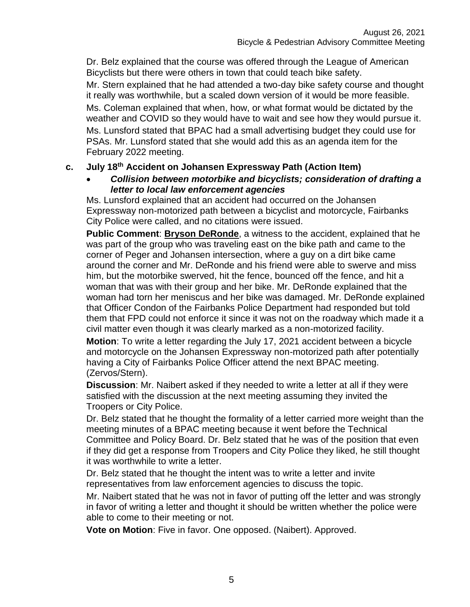Dr. Belz explained that the course was offered through the League of American Bicyclists but there were others in town that could teach bike safety.

Mr. Stern explained that he had attended a two-day bike safety course and thought it really was worthwhile, but a scaled down version of it would be more feasible. Ms. Coleman explained that when, how, or what format would be dictated by the weather and COVID so they would have to wait and see how they would pursue it. Ms. Lunsford stated that BPAC had a small advertising budget they could use for PSAs. Mr. Lunsford stated that she would add this as an agenda item for the February 2022 meeting.

#### **c. July 18 th Accident on Johansen Expressway Path (Action Item)**

 *Collision between motorbike and bicyclists; consideration of drafting a letter to local law enforcement agencies*

Ms. Lunsford explained that an accident had occurred on the Johansen Expressway non-motorized path between a bicyclist and motorcycle, Fairbanks City Police were called, and no citations were issued.

**Public Comment**: **Bryson DeRonde**, a witness to the accident, explained that he was part of the group who was traveling east on the bike path and came to the corner of Peger and Johansen intersection, where a guy on a dirt bike came around the corner and Mr. DeRonde and his friend were able to swerve and miss him, but the motorbike swerved, hit the fence, bounced off the fence, and hit a woman that was with their group and her bike. Mr. DeRonde explained that the woman had torn her meniscus and her bike was damaged. Mr. DeRonde explained that Officer Condon of the Fairbanks Police Department had responded but told them that FPD could not enforce it since it was not on the roadway which made it a civil matter even though it was clearly marked as a non-motorized facility.

**Motion**: To write a letter regarding the July 17, 2021 accident between a bicycle and motorcycle on the Johansen Expressway non-motorized path after potentially having a City of Fairbanks Police Officer attend the next BPAC meeting. (Zervos/Stern).

**Discussion**: Mr. Naibert asked if they needed to write a letter at all if they were satisfied with the discussion at the next meeting assuming they invited the Troopers or City Police.

Dr. Belz stated that he thought the formality of a letter carried more weight than the meeting minutes of a BPAC meeting because it went before the Technical Committee and Policy Board. Dr. Belz stated that he was of the position that even if they did get a response from Troopers and City Police they liked, he still thought it was worthwhile to write a letter.

Dr. Belz stated that he thought the intent was to write a letter and invite representatives from law enforcement agencies to discuss the topic.

Mr. Naibert stated that he was not in favor of putting off the letter and was strongly in favor of writing a letter and thought it should be written whether the police were able to come to their meeting or not.

**Vote on Motion**: Five in favor. One opposed. (Naibert). Approved.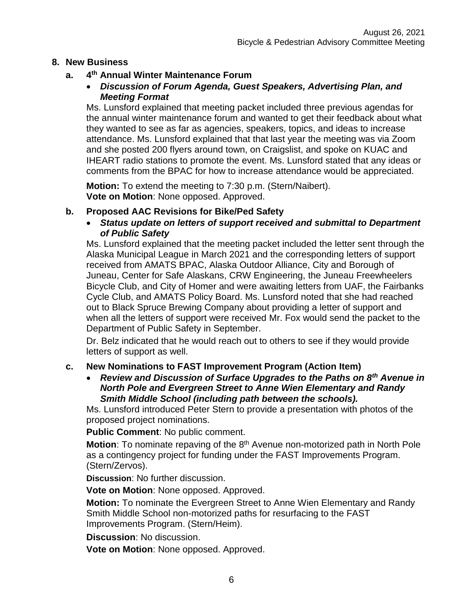#### **8. New Business**

#### **a. 4 th Annual Winter Maintenance Forum**

 *Discussion of Forum Agenda, Guest Speakers, Advertising Plan, and Meeting Format*

Ms. Lunsford explained that meeting packet included three previous agendas for the annual winter maintenance forum and wanted to get their feedback about what they wanted to see as far as agencies, speakers, topics, and ideas to increase attendance. Ms. Lunsford explained that that last year the meeting was via Zoom and she posted 200 flyers around town, on Craigslist, and spoke on KUAC and IHEART radio stations to promote the event. Ms. Lunsford stated that any ideas or comments from the BPAC for how to increase attendance would be appreciated.

**Motion:** To extend the meeting to 7:30 p.m. (Stern/Naibert). **Vote on Motion**: None opposed. Approved.

#### **b. Proposed AAC Revisions for Bike/Ped Safety**

 *Status update on letters of support received and submittal to Department of Public Safety*

Ms. Lunsford explained that the meeting packet included the letter sent through the Alaska Municipal League in March 2021 and the corresponding letters of support received from AMATS BPAC, Alaska Outdoor Alliance, City and Borough of Juneau, Center for Safe Alaskans, CRW Engineering, the Juneau Freewheelers Bicycle Club, and City of Homer and were awaiting letters from UAF, the Fairbanks Cycle Club, and AMATS Policy Board. Ms. Lunsford noted that she had reached out to Black Spruce Brewing Company about providing a letter of support and when all the letters of support were received Mr. Fox would send the packet to the Department of Public Safety in September.

Dr. Belz indicated that he would reach out to others to see if they would provide letters of support as well.

#### **c. New Nominations to FAST Improvement Program (Action Item)**

 *Review and Discussion of Surface Upgrades to the Paths on 8th Avenue in North Pole and Evergreen Street to Anne Wien Elementary and Randy Smith Middle School (including path between the schools).*

Ms. Lunsford introduced Peter Stern to provide a presentation with photos of the proposed project nominations.

**Public Comment**: No public comment.

Motion: To nominate repaving of the 8<sup>th</sup> Avenue non-motorized path in North Pole as a contingency project for funding under the FAST Improvements Program. (Stern/Zervos).

**Discussion**: No further discussion.

**Vote on Motion**: None opposed. Approved.

**Motion:** To nominate the Evergreen Street to Anne Wien Elementary and Randy Smith Middle School non-motorized paths for resurfacing to the FAST Improvements Program. (Stern/Heim).

**Discussion**: No discussion.

**Vote on Motion**: None opposed. Approved.